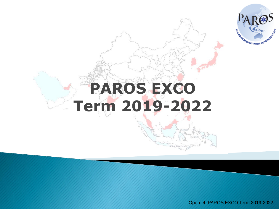

## **PAROS EXCO Term 2019-2022**

Open\_4\_PAROS EXCO Term 2019-2022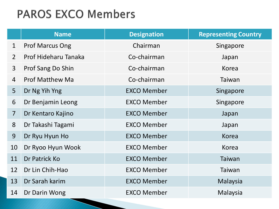## **PAROS EXCO Members**

|                | <b>Name</b>            | <b>Designation</b> | <b>Representing Country</b> |
|----------------|------------------------|--------------------|-----------------------------|
| $\mathbf{1}$   | <b>Prof Marcus Ong</b> | Chairman           | Singapore                   |
| $\overline{2}$ | Prof Hideharu Tanaka   | Co-chairman        | Japan                       |
| $\mathbf{3}$   | Prof Sang Do Shin      | Co-chairman        | Korea                       |
| $\overline{4}$ | <b>Prof Matthew Ma</b> | Co-chairman        | Taiwan                      |
| 5 <sup>1</sup> | Dr Ng Yih Yng          | <b>EXCO Member</b> | Singapore                   |
| 6              | Dr Benjamin Leong      | <b>EXCO Member</b> | Singapore                   |
| $\overline{7}$ | Dr Kentaro Kajino      | <b>EXCO Member</b> | Japan                       |
| 8              | Dr Takashi Tagami      | <b>EXCO Member</b> | Japan                       |
| 9              | Dr Ryu Hyun Ho         | <b>EXCO Member</b> | <b>Korea</b>                |
| 10             | Dr Ryoo Hyun Wook      | <b>EXCO Member</b> | <b>Korea</b>                |
| 11             | Dr Patrick Ko          | <b>EXCO Member</b> | Taiwan                      |
| 12             | Dr Lin Chih-Hao        | <b>EXCO Member</b> | Taiwan                      |
| 13             | Dr Sarah karim         | <b>EXCO Member</b> | Malaysia                    |
| 14             | Dr Darin Wong          | <b>EXCO Member</b> | Malaysia                    |